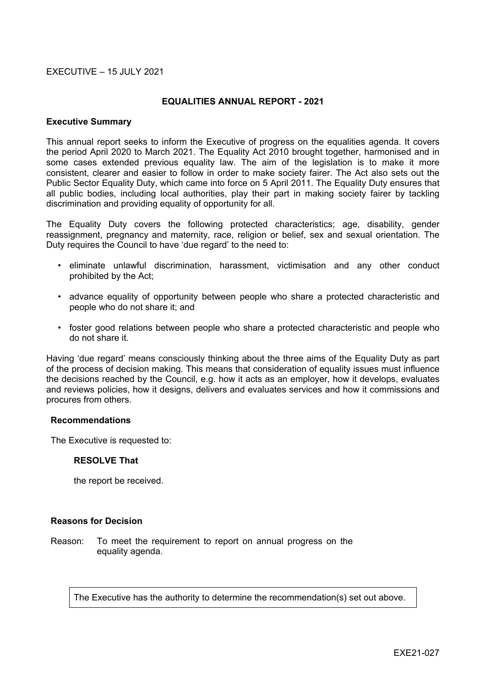#### $EXFCUTIVE = 15$  JULY 2021

#### **EQUALITIES ANNUAL REPORT - 2021**

#### **Executive Summary**

This annual report seeks to inform the Executive of progress on the equalities agenda. It covers the period April 2020 to March 2021. The Equality Act 2010 brought together, harmonised and in some cases extended previous equality law. The aim of the legislation is to make it more consistent, clearer and easier to follow in order to make society fairer. The Act also sets out the Public Sector Equality Duty, which came into force on 5 April 2011. The Equality Duty ensures that all public bodies, including local authorities, play their part in making society fairer by tackling discrimination and providing equality of opportunity for all.

The Equality Duty covers the following protected characteristics; age, disability, gender reassignment, pregnancy and maternity, race, religion or belief, sex and sexual orientation. The Duty requires the Council to have 'due regard' to the need to:

- eliminate unlawful discrimination, harassment, victimisation and any other conduct prohibited by the Act;
- advance equality of opportunity between people who share a protected characteristic and people who do not share it; and
- foster good relations between people who share a protected characteristic and people who do not share it.

Having 'due regard' means consciously thinking about the three aims of the Equality Duty as part of the process of decision making. This means that consideration of equality issues must influence the decisions reached by the Council, e.g. how it acts as an employer, how it develops, evaluates and reviews policies, how it designs, delivers and evaluates services and how it commissions and procures from others.

#### **Recommendations**

The Executive is requested to:

#### **RESOLVE That**

the report be received.

#### **Reasons for Decision**

Reason: To meet the requirement to report on annual progress on the equality agenda.

The Executive has the authority to determine the recommendation(s) set out above.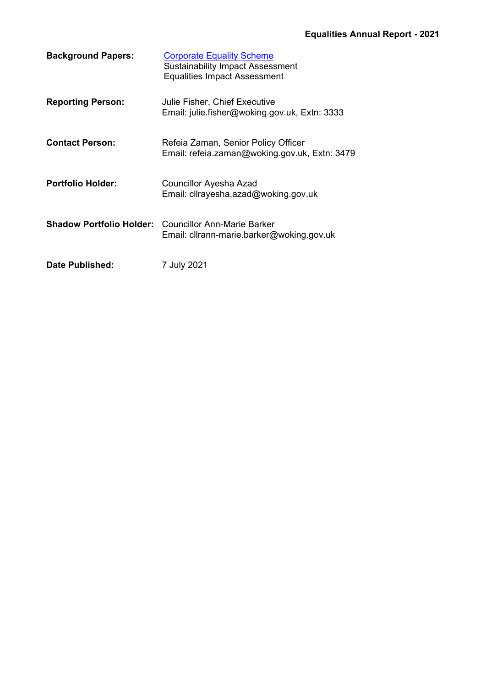| <b>Background Papers:</b>       | <b>Corporate Equality Scheme</b><br><b>Sustainability Impact Assessment</b><br><b>Equalities Impact Assessment</b> |
|---------------------------------|--------------------------------------------------------------------------------------------------------------------|
| <b>Reporting Person:</b>        | Julie Fisher, Chief Executive<br>Email: julie.fisher@woking.gov.uk, Extn: 3333                                     |
| <b>Contact Person:</b>          | Refeia Zaman, Senior Policy Officer<br>Email: refeia.zaman@woking.gov.uk, Extn: 3479                               |
| <b>Portfolio Holder:</b>        | Councillor Ayesha Azad<br>Email: cllrayesha.azad@woking.gov.uk                                                     |
| <b>Shadow Portfolio Holder:</b> | Councillor Ann-Marie Barker<br>Email: cllrann-marie.barker@woking.gov.uk                                           |
| Date Published:                 | 7 July 2021                                                                                                        |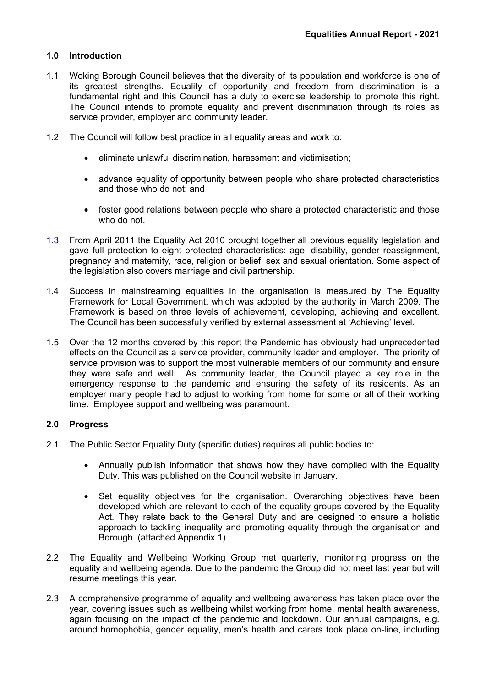### **1.0 Introduction**

- 1.1 Woking Borough Council believes that the diversity of its population and workforce is one of its greatest strengths. Equality of opportunity and freedom from discrimination is a fundamental right and this Council has a duty to exercise leadership to promote this right. The Council intends to promote equality and prevent discrimination through its roles as service provider, employer and community leader.
- 1.2 The Council will follow best practice in all equality areas and work to:
	- eliminate unlawful discrimination, harassment and victimisation;
	- advance equality of opportunity between people who share protected characteristics and those who do not; and
	- foster good relations between people who share a protected characteristic and those who do not.
- 1.3 From April 2011 the Equality Act 2010 brought together all previous equality legislation and gave full protection to eight protected characteristics: age, disability, gender reassignment, pregnancy and maternity, race, religion or belief, sex and sexual orientation. Some aspect of the legislation also covers marriage and civil partnership.
- 1.4 Success in mainstreaming equalities in the organisation is measured by The Equality Framework for Local Government, which was adopted by the authority in March 2009. The Framework is based on three levels of achievement, developing, achieving and excellent. The Council has been successfully verified by external assessment at 'Achieving' level.
- 1.5 Over the 12 months covered by this report the Pandemic has obviously had unprecedented effects on the Council as a service provider, community leader and employer. The priority of service provision was to support the most vulnerable members of our community and ensure they were safe and well. As community leader, the Council played a key role in the emergency response to the pandemic and ensuring the safety of its residents. As an employer many people had to adjust to working from home for some or all of their working time. Employee support and wellbeing was paramount.

### **2.0 Progress**

- 2.1 The Public Sector Equality Duty (specific duties) requires all public bodies to:
	- Annually publish information that shows how they have complied with the Equality Duty. This was published on the Council website in January.
	- Set equality objectives for the organisation. Overarching objectives have been developed which are relevant to each of the equality groups covered by the Equality Act. They relate back to the General Duty and are designed to ensure a holistic approach to tackling inequality and promoting equality through the organisation and Borough. (attached Appendix 1)
- 2.2 The Equality and Wellbeing Working Group met quarterly, monitoring progress on the equality and wellbeing agenda. Due to the pandemic the Group did not meet last year but will resume meetings this year.
- 2.3 A comprehensive programme of equality and wellbeing awareness has taken place over the year, covering issues such as wellbeing whilst working from home, mental health awareness, again focusing on the impact of the pandemic and lockdown. Our annual campaigns, e.g. around homophobia, gender equality, men's health and carers took place on-line, including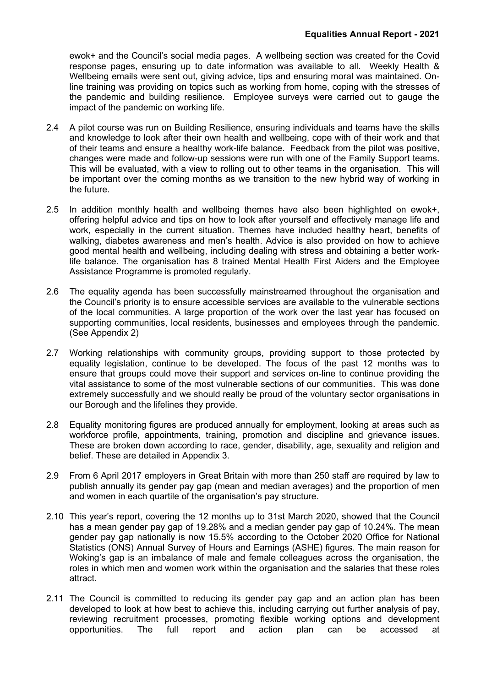ewok+ and the Council's social media pages. A wellbeing section was created for the Covid response pages, ensuring up to date information was available to all. Weekly Health & Wellbeing emails were sent out, giving advice, tips and ensuring moral was maintained. Online training was providing on topics such as working from home, coping with the stresses of the pandemic and building resilience. Employee surveys were carried out to gauge the impact of the pandemic on working life.

- 2.4 A pilot course was run on Building Resilience, ensuring individuals and teams have the skills and knowledge to look after their own health and wellbeing, cope with of their work and that of their teams and ensure a healthy work-life balance. Feedback from the pilot was positive, changes were made and follow-up sessions were run with one of the Family Support teams. This will be evaluated, with a view to rolling out to other teams in the organisation. This will be important over the coming months as we transition to the new hybrid way of working in the future.
- 2.5 In addition monthly health and wellbeing themes have also been highlighted on ewok+, offering helpful advice and tips on how to look after yourself and effectively manage life and work, especially in the current situation. Themes have included healthy heart, benefits of walking, diabetes awareness and men's health. Advice is also provided on how to achieve good mental health and wellbeing, including dealing with stress and obtaining a better worklife balance. The organisation has 8 trained Mental Health First Aiders and the Employee Assistance Programme is promoted regularly.
- 2.6 The equality agenda has been successfully mainstreamed throughout the organisation and the Council's priority is to ensure accessible services are available to the vulnerable sections of the local communities. A large proportion of the work over the last year has focused on supporting communities, local residents, businesses and employees through the pandemic. (See Appendix 2)
- 2.7 Working relationships with community groups, providing support to those protected by equality legislation, continue to be developed. The focus of the past 12 months was to ensure that groups could move their support and services on-line to continue providing the vital assistance to some of the most vulnerable sections of our communities. This was done extremely successfully and we should really be proud of the voluntary sector organisations in our Borough and the lifelines they provide.
- 2.8 Equality monitoring figures are produced annually for employment, looking at areas such as workforce profile. appointments, training, promotion and discipline and grievance issues. These are broken down according to race, gender, disability, age, sexuality and religion and belief. These are detailed in Appendix 3.
- 2.9 From 6 April 2017 employers in Great Britain with more than 250 staff are required by law to publish annually its gender pay gap (mean and median averages) and the proportion of men and women in each quartile of the organisation's pay structure.
- 2.10 This year's report, covering the 12 months up to 31st March 2020, showed that the Council has a mean gender pay gap of 19.28% and a median gender pay gap of 10.24%. The mean gender pay gap nationally is now 15.5% according to the October 2020 Office for National Statistics (ONS) Annual Survey of Hours and Earnings (ASHE) figures. The main reason for Woking's gap is an imbalance of male and female colleagues across the organisation, the roles in which men and women work within the organisation and the salaries that these roles attract.
- 2.11 The Council is committed to reducing its gender pay gap and an action plan has been developed to look at how best to achieve this, including carrying out further analysis of pay, reviewing recruitment processes, promoting flexible working options and development opportunities. The full report and action plan can be accessed at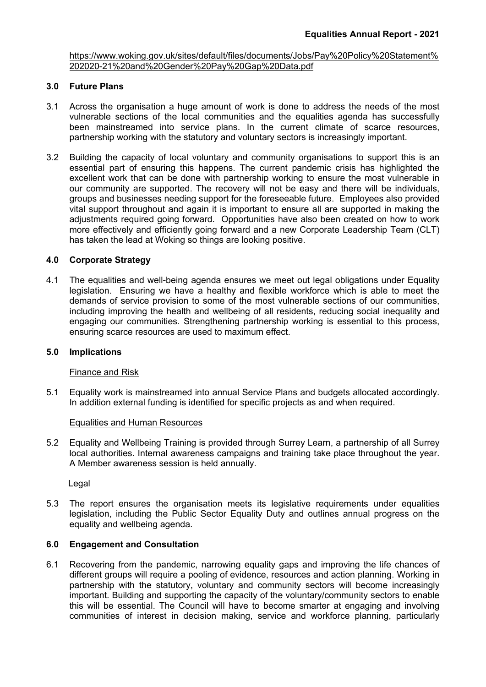[https://www.woking.gov.uk/sites/default/files/documents/Jobs/Pay%20Policy%20Statement%](https://www.woking.gov.uk/sites/default/files/documents/Jobs/Pay%20Policy%20Statement%202020-21%20and%20Gender%20Pay%20Gap%20Data.pdf) [202020-21%20and%20Gender%20Pay%20Gap%20Data.pdf](https://www.woking.gov.uk/sites/default/files/documents/Jobs/Pay%20Policy%20Statement%202020-21%20and%20Gender%20Pay%20Gap%20Data.pdf)

### **3.0 Future Plans**

- 3.1 Across the organisation a huge amount of work is done to address the needs of the most vulnerable sections of the local communities and the equalities agenda has successfully been mainstreamed into service plans. In the current climate of scarce resources, partnership working with the statutory and voluntary sectors is increasingly important.
- 3.2 Building the capacity of local voluntary and community organisations to support this is an essential part of ensuring this happens. The current pandemic crisis has highlighted the excellent work that can be done with partnership working to ensure the most vulnerable in our community are supported. The recovery will not be easy and there will be individuals, groups and businesses needing support for the foreseeable future. Employees also provided vital support throughout and again it is important to ensure all are supported in making the adjustments required going forward. Opportunities have also been created on how to work more effectively and efficiently going forward and a new Corporate Leadership Team (CLT) has taken the lead at Woking so things are looking positive.

#### **4.0 Corporate Strategy**

4.1 The equalities and well-being agenda ensures we meet out legal obligations under Equality legislation. Ensuring we have a healthy and flexible workforce which is able to meet the demands of service provision to some of the most vulnerable sections of our communities, including improving the health and wellbeing of all residents, reducing social inequality and engaging our communities. Strengthening partnership working is essential to this process, ensuring scarce resources are used to maximum effect.

#### **5.0 Implications**

#### Finance and Risk

5.1 Equality work is mainstreamed into annual Service Plans and budgets allocated accordingly. In addition external funding is identified for specific projects as and when required.

#### Equalities and Human Resources

5.2 Equality and Wellbeing Training is provided through Surrey Learn, a partnership of all Surrey local authorities. Internal awareness campaigns and training take place throughout the year. A Member awareness session is held annually.

Legal

5.3 The report ensures the organisation meets its legislative requirements under equalities legislation, including the Public Sector Equality Duty and outlines annual progress on the equality and wellbeing agenda.

### **6.0 Engagement and Consultation**

6.1 Recovering from the pandemic, narrowing equality gaps and improving the life chances of different groups will require a pooling of evidence, resources and action planning. Working in partnership with the statutory, voluntary and community sectors will become increasingly important. Building and supporting the capacity of the voluntary/community sectors to enable this will be essential. The Council will have to become smarter at engaging and involving communities of interest in decision making, service and workforce planning, particularly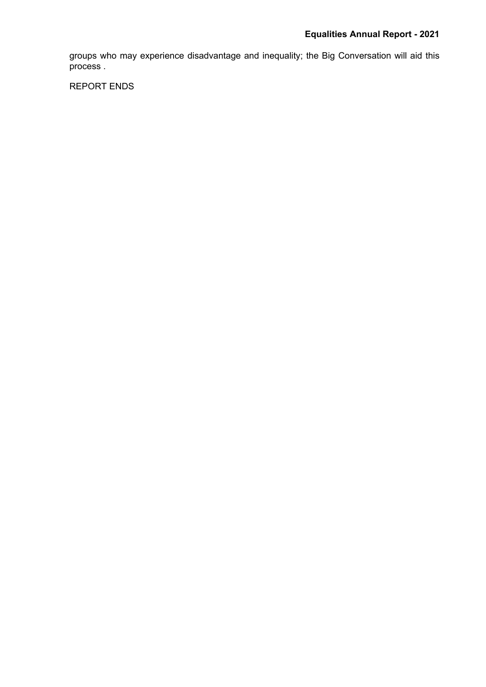groups who may experience disadvantage and inequality; the Big Conversation will aid this process .

REPORT ENDS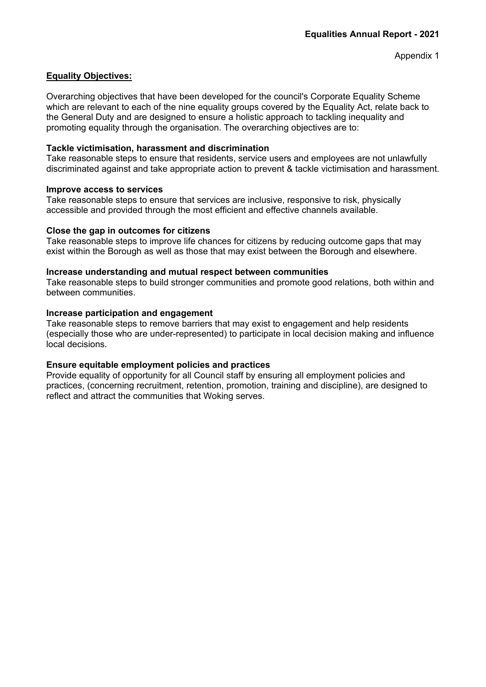### **Equality Objectives:**

Overarching objectives that have been developed for the council's Corporate Equality Scheme which are relevant to each of the nine equality groups covered by the Equality Act, relate back to the General Duty and are designed to ensure a holistic approach to tackling inequality and promoting equality through the organisation. The overarching objectives are to:

### **Tackle victimisation, harassment and discrimination**

Take reasonable steps to ensure that residents, service users and employees are not unlawfully discriminated against and take appropriate action to prevent & tackle victimisation and harassment.

#### **Improve access to services**

Take reasonable steps to ensure that services are inclusive, responsive to risk, physically accessible and provided through the most efficient and effective channels available.

#### **Close the gap in outcomes for citizens**

Take reasonable steps to improve life chances for citizens by reducing outcome gaps that may exist within the Borough as well as those that may exist between the Borough and elsewhere.

#### **Increase understanding and mutual respect between communities**

Take reasonable steps to build stronger communities and promote good relations, both within and between communities.

#### **Increase participation and engagement**

Take reasonable steps to remove barriers that may exist to engagement and help residents (especially those who are under-represented) to participate in local decision making and influence local decisions.

### **Ensure equitable employment policies and practices**

Provide equality of opportunity for all Council staff by ensuring all employment policies and practices, (concerning recruitment, retention, promotion, training and discipline), are designed to reflect and attract the communities that Woking serves.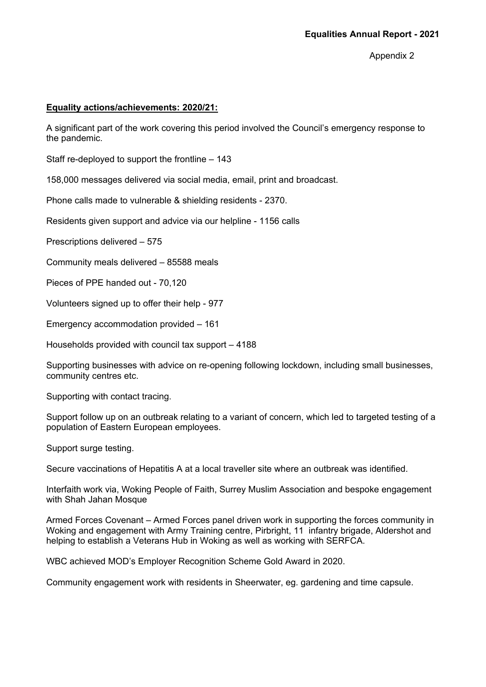Appendix 2

#### **Equality actions/achievements: 2020/21:**

A significant part of the work covering this period involved the Council's emergency response to the pandemic.

Staff re-deployed to support the frontline – 143

158,000 messages delivered via social media, email, print and broadcast.

Phone calls made to vulnerable & shielding residents - 2370.

Residents given support and advice via our helpline - 1156 calls

Prescriptions delivered – 575

Community meals delivered – 85588 meals

Pieces of PPE handed out - 70,120

Volunteers signed up to offer their help - 977

Emergency accommodation provided – 161

Households provided with council tax support – 4188

Supporting businesses with advice on re-opening following lockdown, including small businesses, community centres etc.

Supporting with contact tracing.

Support follow up on an outbreak relating to a variant of concern, which led to targeted testing of a population of Eastern European employees.

Support surge testing.

Secure vaccinations of Hepatitis A at a local traveller site where an outbreak was identified.

Interfaith work via, Woking People of Faith, Surrey Muslim Association and bespoke engagement with Shah Jahan Mosque

Armed Forces Covenant – Armed Forces panel driven work in supporting the forces community in Woking and engagement with Army Training centre, Pirbright, 11 infantry brigade, Aldershot and helping to establish a Veterans Hub in Woking as well as working with SERFCA.

WBC achieved MOD's Employer Recognition Scheme Gold Award in 2020.

Community engagement work with residents in Sheerwater, eg. gardening and time capsule.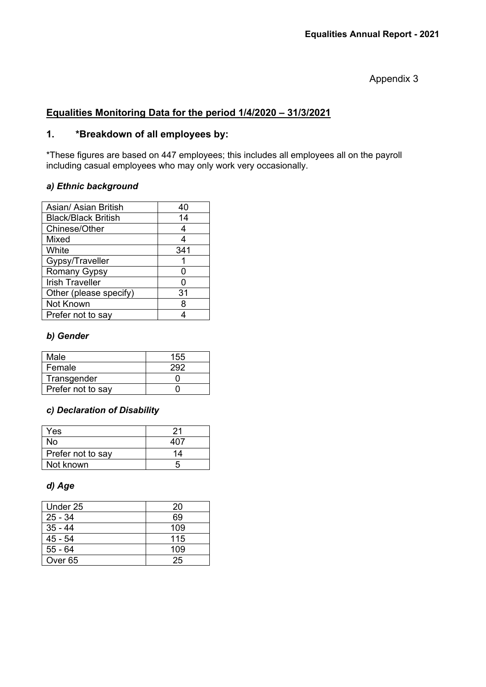Appendix 3

# **Equalities Monitoring Data for the period 1/4/2020 – 31/3/2021**

# **1. \*Breakdown of all employees by:**

\*These figures are based on 447 employees; this includes all employees all on the payroll including casual employees who may only work very occasionally.

### *a) Ethnic background*

| Asian/ Asian British       | 40  |
|----------------------------|-----|
| <b>Black/Black British</b> | 14  |
| Chinese/Other              | 4   |
| Mixed                      | 4   |
| White                      | 341 |
| Gypsy/Traveller            |     |
| Romany Gypsy               |     |
| <b>Irish Traveller</b>     | ი   |
| Other (please specify)     | 31  |
| Not Known                  | 8   |
| Prefer not to say          |     |

### *b) Gender*

| 155 |
|-----|
| 292 |
|     |
|     |
|     |

### *c) Declaration of Disability*

| <b>Yes</b>        | 21  |
|-------------------|-----|
| No                | 407 |
| Prefer not to say | 14  |
| Not known         | :C  |

### *d) Age*

| Under 25  | 20  |
|-----------|-----|
| $25 - 34$ | 69  |
| $35 - 44$ | 109 |
| $45 - 54$ | 115 |
| $55 - 64$ | 109 |
| Over 65   | 25  |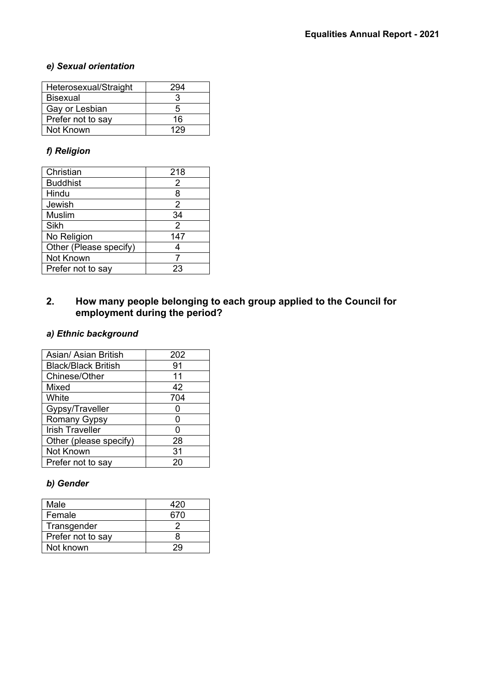### *e) Sexual orientation*

| Heterosexual/Straight | 294 |
|-----------------------|-----|
| <b>Bisexual</b>       |     |
| Gay or Lesbian        | 5   |
| Prefer not to say     | 16  |
| Not Known             | 129 |

## *f) Religion*

| Christian              | 218           |
|------------------------|---------------|
| <b>Buddhist</b>        | 2             |
| Hindu                  | 8             |
| Jewish                 | 2             |
| Muslim                 | 34            |
| Sikh                   | $\mathcal{P}$ |
| No Religion            | 147           |
| Other (Please specify) |               |
| Not Known              |               |
| Prefer not to say      | 23            |

### **2. How many people belonging to each group applied to the Council for employment during the period?**

# *a) Ethnic background*

| Asian/ Asian British       | 202 |
|----------------------------|-----|
| <b>Black/Black British</b> | 91  |
| Chinese/Other              | 11  |
| Mixed                      | 42  |
| White                      | 704 |
| Gypsy/Traveller            | O   |
| Romany Gypsy               | 0   |
| <b>Irish Traveller</b>     | O   |
| Other (please specify)     | 28  |
| Not Known                  | 31  |
| Prefer not to say          | 20  |

## *b) Gender*

| Male              | 420 |
|-------------------|-----|
| Female            | 670 |
| Transgender       |     |
| Prefer not to say | x   |
| Not known         |     |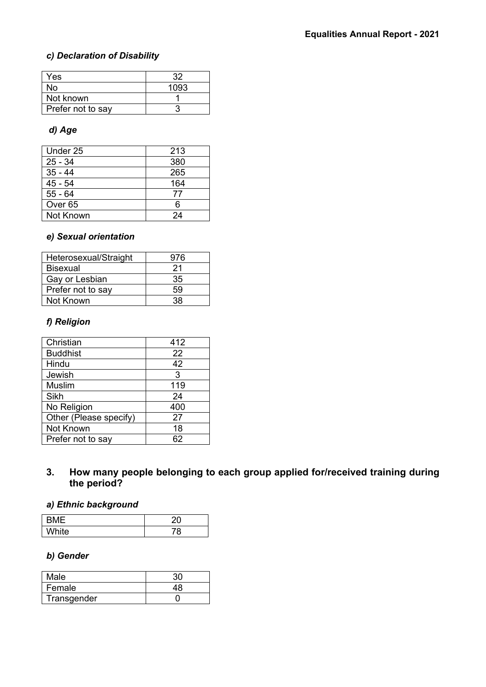## *c) Declaration of Disability*

| Yes               | 32   |
|-------------------|------|
| No                | 1093 |
| Not known         |      |
| Prefer not to say |      |

### *d) Age*

| Under 25           | 213 |
|--------------------|-----|
| $25 - 34$          | 380 |
| $35 - 44$          | 265 |
| $45 - 54$          | 164 |
| $55 - 64$          | 77  |
| Over <sub>65</sub> | 6   |
| Not Known          | 24  |

#### *e) Sexual orientation*

| Heterosexual/Straight | 976 |
|-----------------------|-----|
| <b>Bisexual</b>       | 21  |
| Gay or Lesbian        | 35  |
| Prefer not to say     | 59  |
| Not Known             | ٩Я  |

## *f) Religion*

| Christian              | 412 |
|------------------------|-----|
| <b>Buddhist</b>        | 22  |
| Hindu                  | 42  |
| Jewish                 | 3   |
| Muslim                 | 119 |
| Sikh                   | 24  |
| No Religion            | 400 |
| Other (Please specify) | 27  |
| Not Known              | 18  |
| Prefer not to say      | 62  |
|                        |     |

# **3. How many people belonging to each group applied for/received training during the period?**

## *a) Ethnic background*

| -                   |   |
|---------------------|---|
| 'Vhite<br>' א ווונכ | Ω |

## *b) Gender*

| Male        |  |
|-------------|--|
| Female      |  |
| Transgender |  |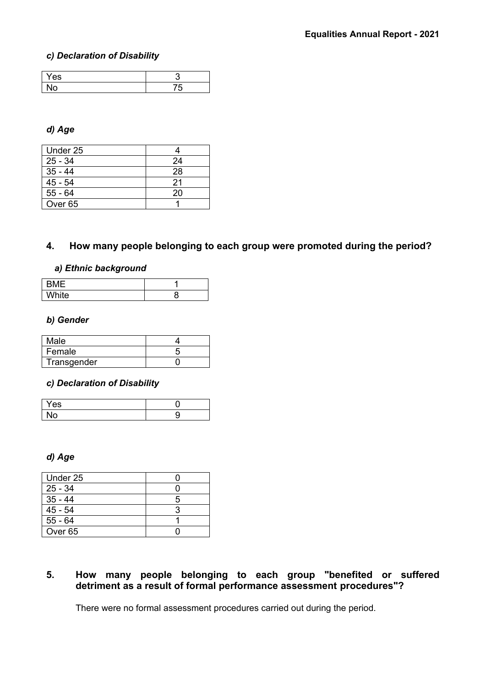### *c) Declaration of Disability*

| r es |  |
|------|--|
|      |  |

### *d) Age*

| Under 25  |    |
|-----------|----|
| $25 - 34$ | 24 |
| $35 - 44$ | 28 |
| $45 - 54$ | 21 |
| $55 - 64$ | 20 |
| Over 65   |    |

# **4. How many people belonging to each group were promoted during the period?**

### *a) Ethnic background*

| -     |  |
|-------|--|
| White |  |

#### *b) Gender*

| Male        |  |
|-------------|--|
| Female      |  |
| Transgender |  |

### *c) Declaration of Disability*

| Yes |  |
|-----|--|
| ı., |  |

### *d) Age*

| Under 25           |   |
|--------------------|---|
| $25 - 34$          |   |
| $35 - 44$          | 5 |
| $45 - 54$          |   |
| $55 - 64$          |   |
| Over <sub>65</sub> |   |

## **5. How many people belonging to each group "benefited or suffered detriment as a result of formal performance assessment procedures"?**

There were no formal assessment procedures carried out during the period.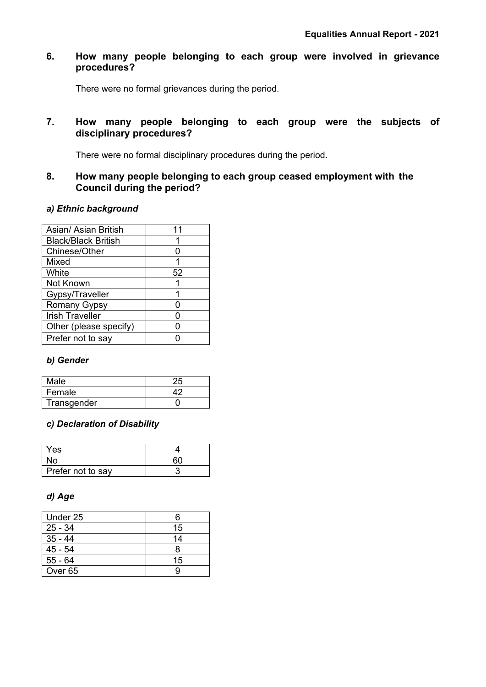### **6. How many people belonging to each group were involved in grievance procedures?**

There were no formal grievances during the period.

### **7. How many people belonging to each group were the subjects of disciplinary procedures?**

There were no formal disciplinary procedures during the period.

### **8. How many people belonging to each group ceased employment with the Council during the period?**

### *a) Ethnic background*

| Asian/ Asian British       | 11 |
|----------------------------|----|
| <b>Black/Black British</b> |    |
| Chinese/Other              |    |
| Mixed                      |    |
| White                      | 52 |
| Not Known                  |    |
| Gypsy/Traveller            |    |
| Romany Gypsy               |    |
| <b>Irish Traveller</b>     |    |
| Other (please specify)     |    |
| Prefer not to say          |    |
|                            |    |

### *b) Gender*

| Male        |  |
|-------------|--|
| Female      |  |
| Transgender |  |

### *c) Declaration of Disability*

| Yes               |  |
|-------------------|--|
| No.               |  |
| Prefer not to say |  |

### *d) Age*

| Under 25  | 6  |
|-----------|----|
| $25 - 34$ | 15 |
| $35 - 44$ | 14 |
| $45 - 54$ |    |
| $55 - 64$ | 15 |
| Over 65   |    |